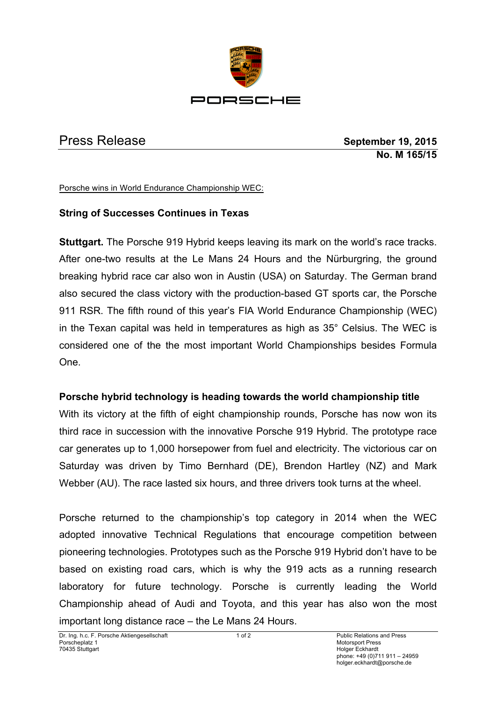

Press Release **September 19, 2015 No. M 165/15**

Porsche wins in World Endurance Championship WEC:

## **String of Successes Continues in Texas**

**Stuttgart.** The Porsche 919 Hybrid keeps leaving its mark on the world's race tracks. After one-two results at the Le Mans 24 Hours and the Nürburgring, the ground breaking hybrid race car also won in Austin (USA) on Saturday. The German brand also secured the class victory with the production-based GT sports car, the Porsche 911 RSR. The fifth round of this year's FIA World Endurance Championship (WEC) in the Texan capital was held in temperatures as high as 35° Celsius. The WEC is considered one of the the most important World Championships besides Formula One.

### **Porsche hybrid technology is heading towards the world championship title**

With its victory at the fifth of eight championship rounds, Porsche has now won its third race in succession with the innovative Porsche 919 Hybrid. The prototype race car generates up to 1,000 horsepower from fuel and electricity. The victorious car on Saturday was driven by Timo Bernhard (DE), Brendon Hartley (NZ) and Mark Webber (AU). The race lasted six hours, and three drivers took turns at the wheel.

Porsche returned to the championship's top category in 2014 when the WEC adopted innovative Technical Regulations that encourage competition between pioneering technologies. Prototypes such as the Porsche 919 Hybrid don't have to be based on existing road cars, which is why the 919 acts as a running research laboratory for future technology. Porsche is currently leading the World Championship ahead of Audi and Toyota, and this year has also won the most important long distance race – the Le Mans 24 Hours.